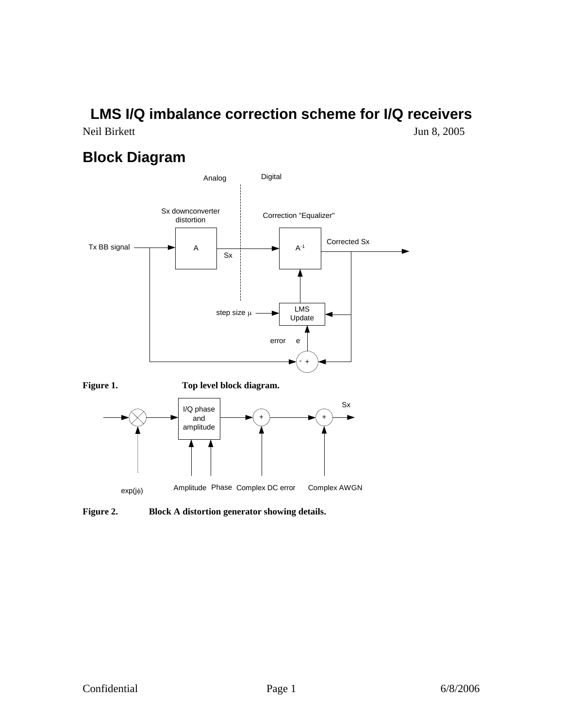# **LMS I/Q imbalance correction scheme for I/Q receivers**

Neil Birkett Jun 8, 2005

### **Block Diagram**



**Figure 2. Block A distortion generator showing details.**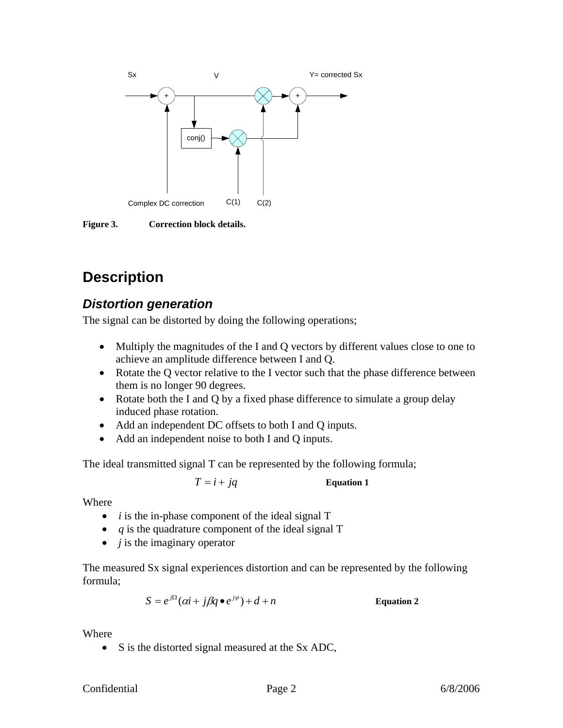

**Figure 3. Correction block details.** 

## **Description**

#### *Distortion generation*

The signal can be distorted by doing the following operations;

- Multiply the magnitudes of the I and Q vectors by different values close to one to achieve an amplitude difference between I and Q.
- Rotate the Q vector relative to the I vector such that the phase difference between them is no longer 90 degrees.
- Rotate both the I and Q by a fixed phase difference to simulate a group delay induced phase rotation.
- Add an independent DC offsets to both I and Q inputs.
- Add an independent noise to both I and Q inputs.

The ideal transmitted signal T can be represented by the following formula;

$$
T = i + jq
$$
 Equation 1

Where

- *i* is the in-phase component of the ideal signal T
- *q* is the quadrature component of the ideal signal T
- *j* is the imaginary operator

The measured Sx signal experiences distortion and can be represented by the following formula;

 $S = e^{j\Omega}(\alpha i + j\beta q \bullet e^{j\varphi}) + d + n$  Equation 2

Where

• S is the distorted signal measured at the Sx ADC,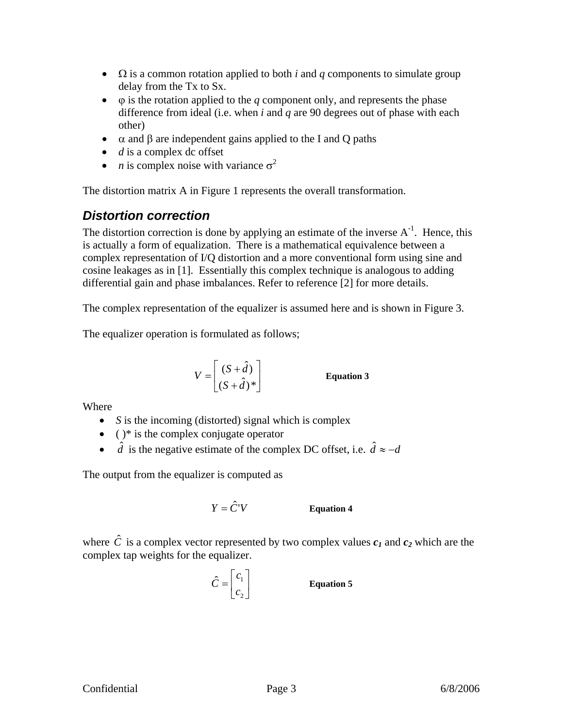- Ω is a common rotation applied to both *i* and *q* components to simulate group delay from the Tx to Sx.
- $\bullet$   $\varphi$  is the rotation applied to the *q* component only, and represents the phase difference from ideal (i.e. when *i* and *q* are 90 degrees out of phase with each other)
- $\alpha$  and β are independent gains applied to the I and Q paths
- *d* is a complex dc offset
- *n* is complex noise with variance  $\sigma^2$

The distortion matrix A in Figure 1 represents the overall transformation.

#### *Distortion correction*

The distortion correction is done by applying an estimate of the inverse  $A^{-1}$ . Hence, this is actually a form of equalization. There is a mathematical equivalence between a complex representation of I/Q distortion and a more conventional form using sine and cosine leakages as in [1]. Essentially this complex technique is analogous to adding differential gain and phase imbalances. Refer to reference [2] for more details.

The complex representation of the equalizer is assumed here and is shown in Figure 3.

The equalizer operation is formulated as follows;

$$
V = \begin{bmatrix} (S + \hat{d}) \\ (S + \hat{d})^* \end{bmatrix}
$$
 Equation 3

**Where** 

- *S* is the incoming (distorted) signal which is complex
- $\bullet$  ( )\* is the complex conjugate operator
- $\hat{d}$  is the negative estimate of the complex DC offset, i.e.  $\hat{d} \approx -d$

The output from the equalizer is computed as

$$
Y = \hat{C}^{\dagger} V \qquad \qquad \text{Equation 4}
$$

where  $\hat{C}$  is a complex vector represented by two complex values  $c_1$  and  $c_2$  which are the complex tap weights for the equalizer.

$$
\hat{C} = \begin{bmatrix} c_1 \\ c_2 \end{bmatrix}
$$

*C* **Equation 5**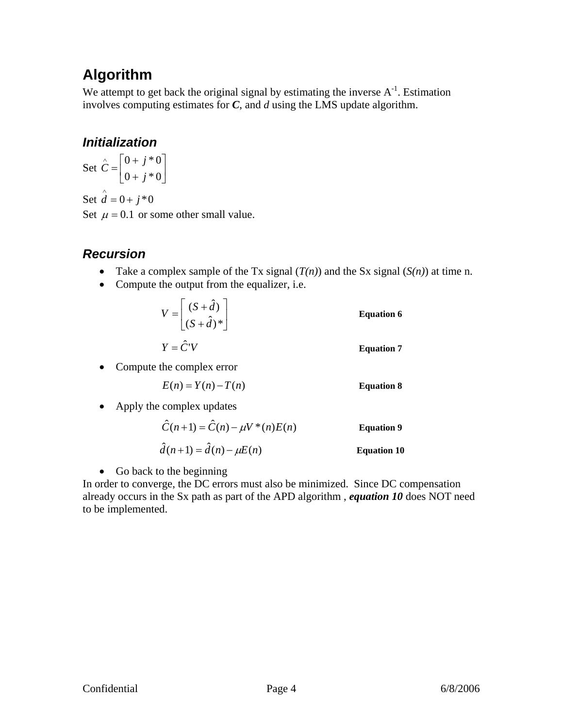## **Algorithm**

We attempt to get back the original signal by estimating the inverse  $A^{-1}$ . Estimation involves computing estimates for *C*, and *d* using the LMS update algorithm.

### *Initialization*

Set  $C = \begin{bmatrix} 0 & 1 & 0 \\ 0 & 1 & 0 \end{bmatrix}$ ⎦  $\begin{vmatrix} 0+j & 0 \\ 0 & 0 \end{vmatrix}$ ⎣  $\vert$ +  $\hat{C} = \begin{bmatrix} 0 \\ 0 \end{bmatrix}$  $0 + j * 0$  $0 + j * 0$ *j*  $\hat{C} = \begin{bmatrix} 0+j \\ 0 & 0 \end{bmatrix}$ Set  $\hat{d} = 0 + j * 0$ 

Set  $\mu = 0.1$  or some other small value.

### *Recursion*

- Take a complex sample of the Tx signal  $(T(n))$  and the Sx signal  $(S(n))$  at time n.
- Compute the output from the equalizer, i.e.

| $V = \begin{bmatrix} (S + \hat{d}) \\ (S + \hat{d})^* \end{bmatrix}$ | <b>Equation 6</b> |
|----------------------------------------------------------------------|-------------------|
| $Y = \hat{C}^{\dagger}V$                                             | <b>Equation 7</b> |

• Compute the complex error

$$
E(n) = Y(n) - T(n)
$$
 Equation 8

• Apply the complex updates

$$
\hat{C}(n+1) = \hat{C}(n) - \mu V^*(n) E(n)
$$
 Equation 9  

$$
\hat{d}(n+1) = \hat{d}(n) - \mu E(n)
$$
 Equation 10

• Go back to the beginning

In order to converge, the DC errors must also be minimized. Since DC compensation already occurs in the Sx path as part of the APD algorithm , *equation 10* does NOT need to be implemented.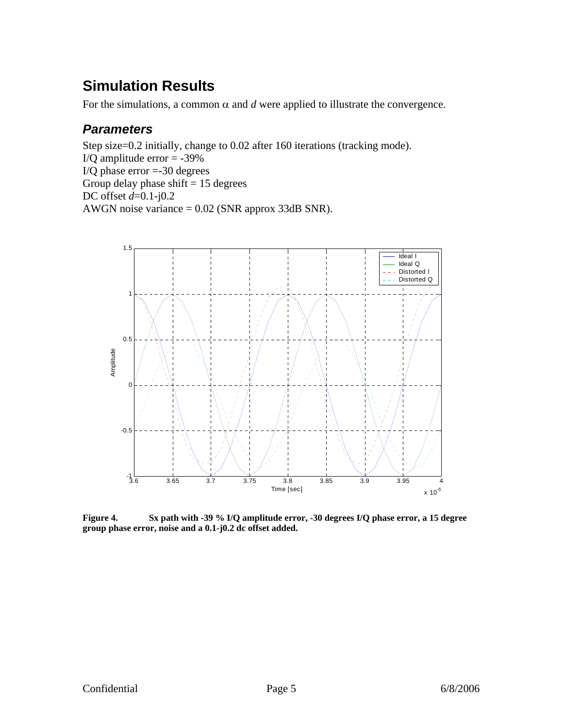## **Simulation Results**

For the simulations, a common  $\alpha$  and  $d$  were applied to illustrate the convergence.

#### *Parameters*

Step size=0.2 initially, change to 0.02 after 160 iterations (tracking mode). I/Q amplitude error  $= -39\%$ I/Q phase error =-30 degrees Group delay phase shift  $= 15$  degrees DC offset *d*=0.1-j0.2 AWGN noise variance = 0.02 (SNR approx 33dB SNR).



**Figure 4. Sx path with -39 % I/Q amplitude error, -30 degrees I/Q phase error, a 15 degree group phase error, noise and a 0.1-j0.2 dc offset added.**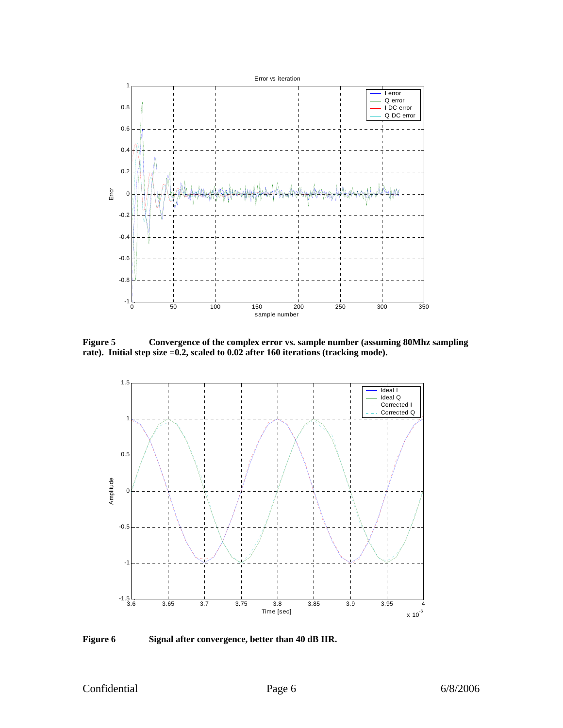

**Figure 5 Convergence of the complex error vs. sample number (assuming 80Mhz sampling rate). Initial step size =0.2, scaled to 0.02 after 160 iterations (tracking mode).** 



**Figure 6 Signal after convergence, better than 40 dB IIR.**